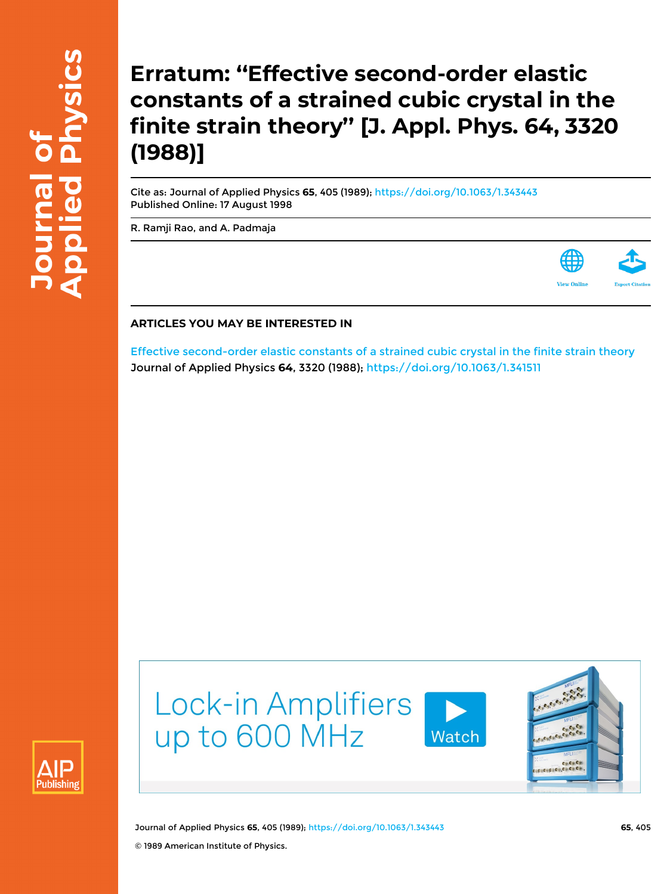## **Erratum: ''Effective second-order elastic constants of a strained cubic crystal in the finite strain theory'' [J. Appl. Phys. 64, 3320 (1988)]**

Cite as: Journal of Applied Physics **65**, 405 (1989); <https://doi.org/10.1063/1.343443> Published Online: 17 August 1998

[R. Ramji Rao,](https://aip.scitation.org/author/Rao%2C+R+Ramji) and [A. Padmaja](https://aip.scitation.org/author/Padmaja%2C+A)



## **ARTICLES YOU MAY BE INTERESTED IN**

[Effective second-order elastic constants of a strained cubic crystal in the finite strain theory](https://aip.scitation.org/doi/10.1063/1.341511) Journal of Applied Physics **64**, 3320 (1988); <https://doi.org/10.1063/1.341511>





Journal of Applied Physics **65**, 405 (1989); <https://doi.org/10.1063/1.343443> **65**, 405 © 1989 American Institute of Physics.